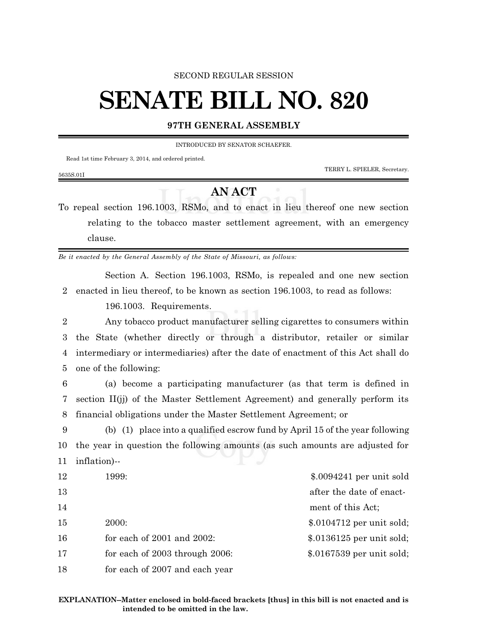### SECOND REGULAR SESSION

# **SENATE BILL NO. 820**

## **97TH GENERAL ASSEMBLY**

INTRODUCED BY SENATOR SCHAEFER.

Read 1st time February 3, 2014, and ordered printed.

TERRY L. SPIELER, Secretary.

#### 5635S.01I

## **AN ACT**

To repeal section 196.1003, RSMo, and to enact in lieu thereof one new section relating to the tobacco master settlement agreement, with an emergency clause.

*Be it enacted by the General Assembly of the State of Missouri, as follows:*

Section A. Section 196.1003, RSMo, is repealed and one new section 2 enacted in lieu thereof, to be known as section 196.1003, to read as follows:

196.1003. Requirements.

 Any tobacco product manufacturer selling cigarettes to consumers within the State (whether directly or through a distributor, retailer or similar intermediary or intermediaries) after the date of enactment of this Act shall do one of the following:

6 (a) become a participating manufacturer (as that term is defined in 7 section II(jj) of the Master Settlement Agreement) and generally perform its 8 financial obligations under the Master Settlement Agreement; or

9 (b) (1) place into a qualified escrow fund by April 15 of the year following 10 the year in question the following amounts (as such amounts are adjusted for 11 inflation)--

| 12 | 1999:                           | $$.0094241$ per unit sold  |
|----|---------------------------------|----------------------------|
| 13 |                                 | after the date of enact-   |
| 14 |                                 | ment of this Act;          |
| 15 | 2000:                           | $$.0104712$ per unit sold; |
| 16 | for each of $2001$ and $2002$ : | $$.0136125$ per unit sold; |
| 17 | for each of 2003 through 2006:  | $$.0167539$ per unit sold; |
| 18 | for each of 2007 and each year  |                            |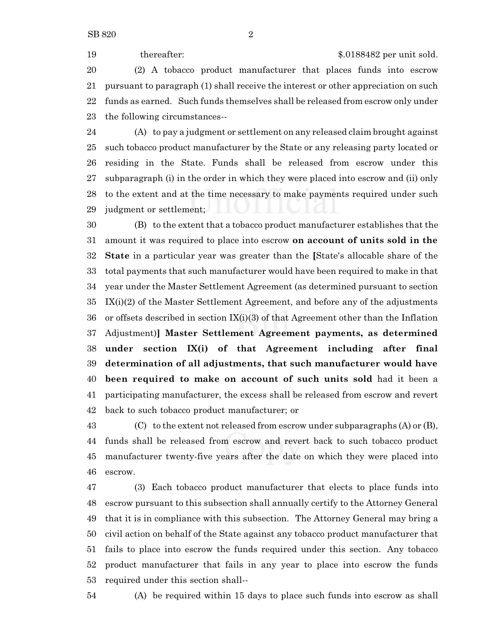19 thereafter:  $\frac{19}{20188482}$  per unit sold. (2) A tobacco product manufacturer that places funds into escrow pursuant to paragraph (1) shall receive the interest or other appreciation on such funds as earned. Such funds themselves shall be released from escrow only under the following circumstances--

 (A) to pay a judgment or settlement on any released claim brought against such tobacco product manufacturer by the State or any releasing party located or residing in the State. Funds shall be released from escrow under this subparagraph (i) in the order in which they were placed into escrow and (ii) only to the extent and at the time necessary to make payments required under such judgment or settlement;

 (B) to the extent that a tobacco product manufacturer establishes that the amount it was required to place into escrow **on account of units sold in the State** in a particular year was greater than the **[**State's allocable share of the total payments that such manufacturer would have been required to make in that year under the Master Settlement Agreement (as determined pursuant to section IX(i)(2) of the Master Settlement Agreement, and before any of the adjustments or offsets described in section IX(i)(3) of that Agreement other than the Inflation Adjustment)**] Master Settlement Agreement payments, as determined under section IX(i) of that Agreement including after final determination of all adjustments, that such manufacturer would have been required to make on account of such units sold** had it been a participating manufacturer, the excess shall be released from escrow and revert back to such tobacco product manufacturer; or

 (C) to the extent not released from escrow under subparagraphs (A) or (B), funds shall be released from escrow and revert back to such tobacco product manufacturer twenty-five years after the date on which they were placed into escrow.

 (3) Each tobacco product manufacturer that elects to place funds into escrow pursuant to this subsection shall annually certify to the Attorney General that it is in compliance with this subsection. The Attorney General may bring a civil action on behalf of the State against any tobacco product manufacturer that fails to place into escrow the funds required under this section. Any tobacco product manufacturer that fails in any year to place into escrow the funds required under this section shall--

(A) be required within 15 days to place such funds into escrow as shall